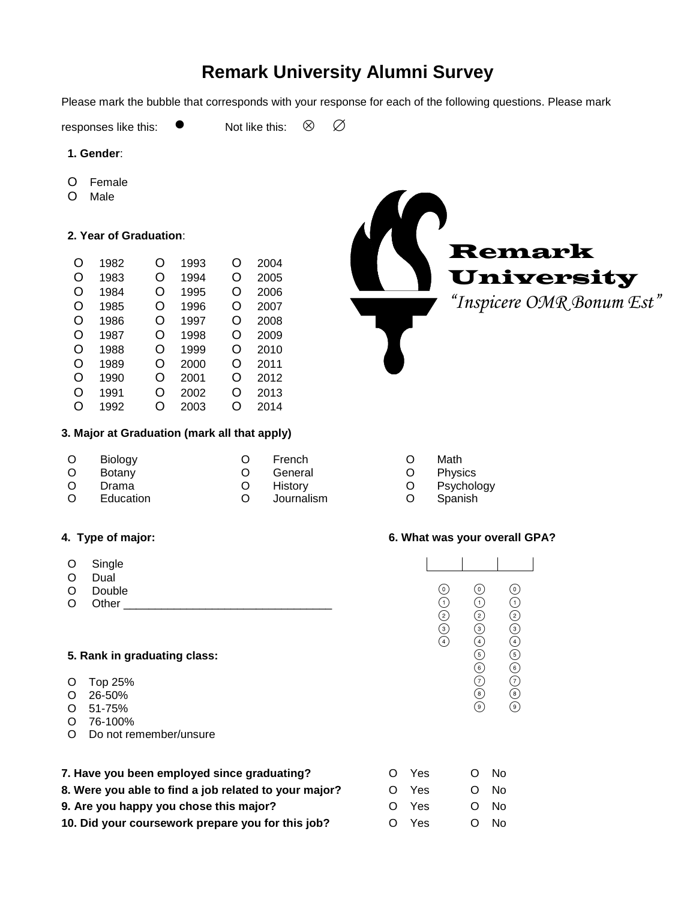# **Remark University Alumni Survey**

Please mark the bubble that corresponds with your response for each of the following questions. Please mark

responses like this:  $\bullet$  Not like this:  $\otimes$   $\oslash$ 

#### **1. Gender**:

- O Female
- O Male

# **2. Year of Graduation**:

| O | 1982 | O | 1993 | O | 2004 |
|---|------|---|------|---|------|
| O | 1983 | O | 1994 | O | 2005 |
| O | 1984 | O | 1995 | O | 2006 |
| O | 1985 | O | 1996 | O | 2007 |
| O | 1986 | O | 1997 | O | 2008 |
| O | 1987 | O | 1998 | O | 2009 |
| Ω | 1988 | O | 1999 | O | 2010 |
| O | 1989 | O | 2000 | O | 2011 |
| O | 1990 | Ω | 2001 | Ω | 2012 |
| O | 1991 | O | 2002 | O | 2013 |
| Ω | 1992 | റ | 2003 | O | 2014 |

# **3. Major at Graduation (mark all that apply)**

| $\circ$  | Biology   | French     | Math    |
|----------|-----------|------------|---------|
| $\circ$  | Botany    | General    | Physics |
| $\circ$  | Drama     | Historv    | Psychol |
| $\Omega$ | Education | Journalism | Spanish |

- O Single
- O Dual
- 
- O Other \_\_\_\_\_\_\_\_\_\_\_\_\_\_\_\_\_\_\_\_\_\_\_\_\_\_\_\_\_\_\_\_\_

# **5. Rank in graduating class:**

- O Top 25%
- O 26-50%
- O 51-75%
- O 76-100%
- O Do not remember/unsure
- **7.** Have you been employed since graduating? C No Yes O No **8. Were you able to find a job related to your major?** O Yes O No **9. Are you happy you chose this major?** O Yes O No **10. Did your coursework prepare you for this job?** O Yes O No



- 
- 
- O Psychology
- 

# **4. Type of major: 6. What was your overall GPA?**